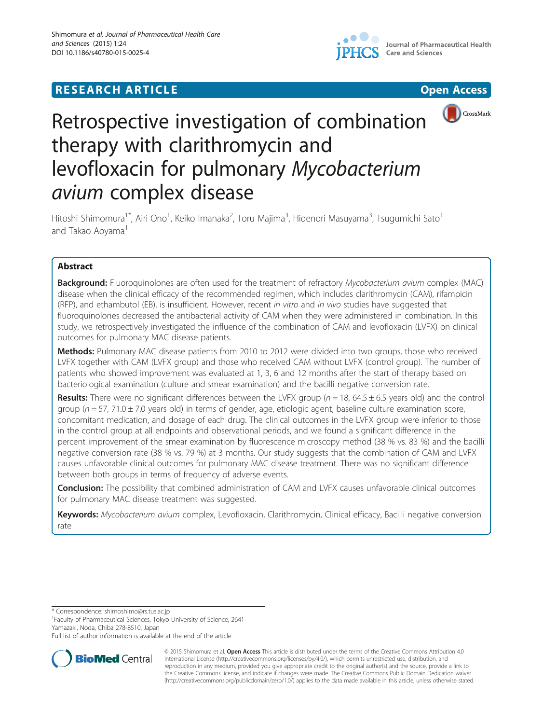# **RESEARCH ARTICLE Example 2008 12:00 Department of the Contract Open Access**







# Retrospective investigation of combination therapy with clarithromycin and levofloxacin for pulmonary Mycobacterium avium complex disease

Hitoshi Shimomura<sup>1\*</sup>, Airi Ono<sup>1</sup>, Keiko Imanaka<sup>2</sup>, Toru Majima<sup>3</sup>, Hidenori Masuyama<sup>3</sup>, Tsugumichi Sato<sup>1</sup> and Takao Aoyama<sup>1</sup>

# Abstract

Background: Fluoroquinolones are often used for the treatment of refractory Mycobacterium avium complex (MAC) disease when the clinical efficacy of the recommended regimen, which includes clarithromycin (CAM), rifampicin (RFP), and ethambutol (EB), is insufficient. However, recent in vitro and in vivo studies have suggested that fluoroquinolones decreased the antibacterial activity of CAM when they were administered in combination. In this study, we retrospectively investigated the influence of the combination of CAM and levofloxacin (LVFX) on clinical outcomes for pulmonary MAC disease patients.

Methods: Pulmonary MAC disease patients from 2010 to 2012 were divided into two groups, those who received LVFX together with CAM (LVFX group) and those who received CAM without LVFX (control group). The number of patients who showed improvement was evaluated at 1, 3, 6 and 12 months after the start of therapy based on bacteriological examination (culture and smear examination) and the bacilli negative conversion rate.

**Results:** There were no significant differences between the LVFX group ( $n = 18$ , 64.5  $\pm$  6.5 years old) and the control group ( $n = 57$ , 71.0  $\pm$  7.0 years old) in terms of gender, age, etiologic agent, baseline culture examination score, concomitant medication, and dosage of each drug. The clinical outcomes in the LVFX group were inferior to those in the control group at all endpoints and observational periods, and we found a significant difference in the percent improvement of the smear examination by fluorescence microscopy method (38 % vs. 83 %) and the bacilli negative conversion rate (38 % vs. 79 %) at 3 months. Our study suggests that the combination of CAM and LVFX causes unfavorable clinical outcomes for pulmonary MAC disease treatment. There was no significant difference between both groups in terms of frequency of adverse events.

Conclusion: The possibility that combined administration of CAM and LVFX causes unfavorable clinical outcomes for pulmonary MAC disease treatment was suggested.

Keywords: Mycobacterium avium complex, Levofloxacin, Clarithromycin, Clinical efficacy, Bacilli negative conversion rate

\* Correspondence: [shimoshimo@rs.tus.ac.jp](mailto:shimoshimo@rs.tus.ac.jp) <sup>1</sup>

<sup>1</sup>Faculty of Pharmaceutical Sciences, Tokyo University of Science, 2641 Yamazaki, Noda, Chiba 278-8510, Japan

Full list of author information is available at the end of the article



© 2015 Shimomura et al. Open Access This article is distributed under the terms of the Creative Commons Attribution 4.0 International License [\(http://creativecommons.org/licenses/by/4.0/](http://creativecommons.org/licenses/by/4.0/)), which permits unrestricted use, distribution, and reproduction in any medium, provided you give appropriate credit to the original author(s) and the source, provide a link to the Creative Commons license, and indicate if changes were made. The Creative Commons Public Domain Dedication waiver [\(http://creativecommons.org/publicdomain/zero/1.0/](http://creativecommons.org/publicdomain/zero/1.0/)) applies to the data made available in this article, unless otherwise stated.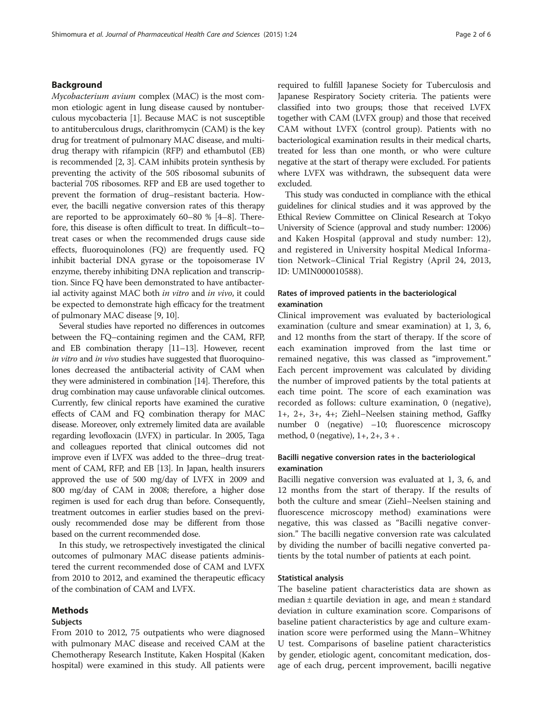### Background

Mycobacterium avium complex (MAC) is the most common etiologic agent in lung disease caused by nontuberculous mycobacteria [[1](#page-4-0)]. Because MAC is not susceptible to antituberculous drugs, clarithromycin (CAM) is the key drug for treatment of pulmonary MAC disease, and multidrug therapy with rifampicin (RFP) and ethambutol (EB) is recommended [\[2](#page-5-0), [3](#page-5-0)]. CAM inhibits protein synthesis by preventing the activity of the 50S ribosomal subunits of bacterial 70S ribosomes. RFP and EB are used together to prevent the formation of drug–resistant bacteria. However, the bacilli negative conversion rates of this therapy are reported to be approximately 60–80 % [[4](#page-5-0)–[8](#page-5-0)]. Therefore, this disease is often difficult to treat. In difficult–to– treat cases or when the recommended drugs cause side effects, fluoroquinolones (FQ) are frequently used. FQ inhibit bacterial DNA gyrase or the topoisomerase IV enzyme, thereby inhibiting DNA replication and transcription. Since FQ have been demonstrated to have antibacterial activity against MAC both in vitro and in vivo, it could be expected to demonstrate high efficacy for the treatment of pulmonary MAC disease [\[9](#page-5-0), [10](#page-5-0)].

Several studies have reported no differences in outcomes between the FQ–containing regimen and the CAM, RFP, and EB combination therapy [\[11](#page-5-0)–[13](#page-5-0)]. However, recent in vitro and in vivo studies have suggested that fluoroquinolones decreased the antibacterial activity of CAM when they were administered in combination [\[14](#page-5-0)]. Therefore, this drug combination may cause unfavorable clinical outcomes. Currently, few clinical reports have examined the curative effects of CAM and FQ combination therapy for MAC disease. Moreover, only extremely limited data are available regarding levofloxacin (LVFX) in particular. In 2005, Taga and colleagues reported that clinical outcomes did not improve even if LVFX was added to the three–drug treatment of CAM, RFP, and EB [\[13\]](#page-5-0). In Japan, health insurers approved the use of 500 mg/day of LVFX in 2009 and 800 mg/day of CAM in 2008; therefore, a higher dose regimen is used for each drug than before. Consequently, treatment outcomes in earlier studies based on the previously recommended dose may be different from those based on the current recommended dose.

In this study, we retrospectively investigated the clinical outcomes of pulmonary MAC disease patients administered the current recommended dose of CAM and LVFX from 2010 to 2012, and examined the therapeutic efficacy of the combination of CAM and LVFX.

#### Methods

#### Subjects

From 2010 to 2012, 75 outpatients who were diagnosed with pulmonary MAC disease and received CAM at the Chemotherapy Research Institute, Kaken Hospital (Kaken hospital) were examined in this study. All patients were required to fulfill Japanese Society for Tuberculosis and Japanese Respiratory Society criteria. The patients were classified into two groups; those that received LVFX together with CAM (LVFX group) and those that received CAM without LVFX (control group). Patients with no bacteriological examination results in their medical charts, treated for less than one month, or who were culture negative at the start of therapy were excluded. For patients where LVFX was withdrawn, the subsequent data were excluded.

This study was conducted in compliance with the ethical guidelines for clinical studies and it was approved by the Ethical Review Committee on Clinical Research at Tokyo University of Science (approval and study number: 12006) and Kaken Hospital (approval and study number: 12), and registered in University hospital Medical Information Network–Clinical Trial Registry (April 24, 2013, ID: UMIN000010588).

# Rates of improved patients in the bacteriological examination

Clinical improvement was evaluated by bacteriological examination (culture and smear examination) at 1, 3, 6, and 12 months from the start of therapy. If the score of each examination improved from the last time or remained negative, this was classed as "improvement." Each percent improvement was calculated by dividing the number of improved patients by the total patients at each time point. The score of each examination was recorded as follows: culture examination, 0 (negative), 1+, 2+, 3+, 4+; Ziehl–Neelsen staining method, Gaffky number 0 (negative) –10; fluorescence microscopy method, 0 (negative),  $1+, 2+, 3+.$ 

# Bacilli negative conversion rates in the bacteriological examination

Bacilli negative conversion was evaluated at 1, 3, 6, and 12 months from the start of therapy. If the results of both the culture and smear (Ziehl–Neelsen staining and fluorescence microscopy method) examinations were negative, this was classed as "Bacilli negative conversion." The bacilli negative conversion rate was calculated by dividing the number of bacilli negative converted patients by the total number of patients at each point.

#### Statistical analysis

The baseline patient characteristics data are shown as median  $\pm$  quartile deviation in age, and mean  $\pm$  standard deviation in culture examination score. Comparisons of baseline patient characteristics by age and culture examination score were performed using the Mann–Whitney U test. Comparisons of baseline patient characteristics by gender, etiologic agent, concomitant medication, dosage of each drug, percent improvement, bacilli negative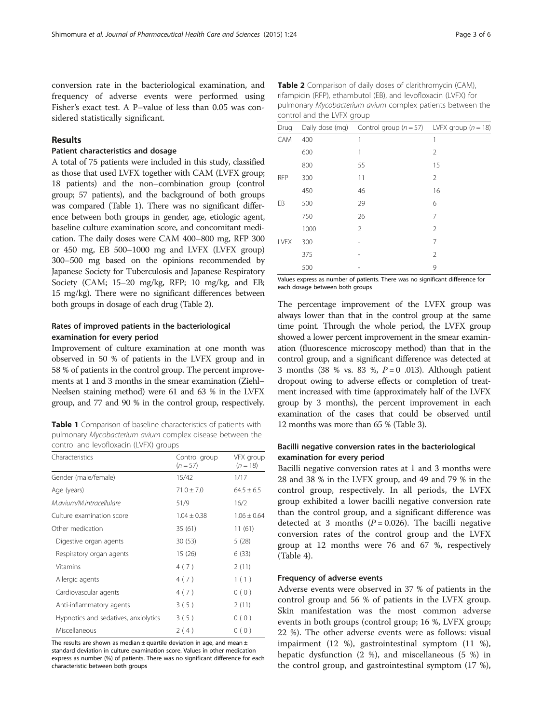<span id="page-2-0"></span>conversion rate in the bacteriological examination, and frequency of adverse events were performed using Fisher's exact test. A P–value of less than 0.05 was considered statistically significant.

# Results

#### Patient characteristics and dosage

A total of 75 patients were included in this study, classified as those that used LVFX together with CAM (LVFX group; 18 patients) and the non–combination group (control group; 57 patients), and the background of both groups was compared (Table 1). There was no significant difference between both groups in gender, age, etiologic agent, baseline culture examination score, and concomitant medication. The daily doses were CAM 400–800 mg, RFP 300 or 450 mg, EB 500–1000 mg and LVFX (LVFX group) 300–500 mg based on the opinions recommended by Japanese Society for Tuberculosis and Japanese Respiratory Society (CAM; 15–20 mg/kg, RFP; 10 mg/kg, and EB; 15 mg/kg). There were no significant differences between both groups in dosage of each drug (Table 2).

# Rates of improved patients in the bacteriological examination for every period

Improvement of culture examination at one month was observed in 50 % of patients in the LVFX group and in 58 % of patients in the control group. The percent improvements at 1 and 3 months in the smear examination (Ziehl– Neelsen staining method) were 61 and 63 % in the LVFX group, and 77 and 90 % in the control group, respectively.

| <b>Table 1</b> Comparison of baseline characteristics of patients with |
|------------------------------------------------------------------------|
| pulmonary Mycobacterium avium complex disease between the              |
| control and levofloxacin (LVFX) groups                                 |

| Characteristics                      | Control group<br>$(n = 57)$ | VFX group<br>$(n = 18)$ |
|--------------------------------------|-----------------------------|-------------------------|
| Gender (male/female)                 | 15/42                       | 1/17                    |
| Age (years)                          | $71.0 \pm 7.0$              | $64.5 \pm 6.5$          |
| M.avium/M.intracellulare             | 51/9                        | 16/2                    |
| Culture examination score            | $1.04 \pm 0.38$             | $1.06 \pm 0.64$         |
| Other medication                     | 35 (61)                     | 11(61)                  |
| Digestive organ agents               | 30(53)                      | 5 (28)                  |
| Respiratory organ agents             | 15 (26)                     | 6(33)                   |
| Vitamins                             | 4 (7)                       | 2(11)                   |
| Allergic agents                      | 4(7)                        | 1(1)                    |
| Cardiovascular agents                | 4(7)                        | 0(0)                    |
| Anti-inflammatory agents             | 3(5)                        | 2(11)                   |
| Hypnotics and sedatives, anxiolytics | 3(5)                        | 0(0)                    |
| Miscellaneous                        | 2(4)                        | 0(0)                    |

The results are shown as median  $\pm$  quartile deviation in age, and mean  $\pm$ standard deviation in culture examination score. Values in other medication express as number (%) of patients. There was no significant difference for each characteristic between both groups

| Drug        |      | Daily dose (mg) Control group ( $n = 57$ ) LVFX group ( $n = 18$ ) |    |
|-------------|------|--------------------------------------------------------------------|----|
| CAM         | 400  | 1                                                                  | 1  |
|             | 600  |                                                                    | 2  |
|             | 800  | 55                                                                 | 15 |
| <b>RFP</b>  | 300  | 11                                                                 | 2  |
|             | 450  | 46                                                                 | 16 |
| EB          | 500  | 29                                                                 | 6  |
|             | 750  | 26                                                                 | 7  |
|             | 1000 | 2                                                                  | 2  |
| <b>LVFX</b> | 300  |                                                                    | 7  |
|             | 375  |                                                                    | 2  |
|             | 500  |                                                                    | 9  |

Values express as number of patients. There was no significant difference for each dosage between both groups

The percentage improvement of the LVFX group was always lower than that in the control group at the same time point. Through the whole period, the LVFX group showed a lower percent improvement in the smear examination (fluorescence microscopy method) than that in the control group, and a significant difference was detected at 3 months (38 % vs. 83 %,  $P = 0$  .013). Although patient dropout owing to adverse effects or completion of treatment increased with time (approximately half of the LVFX group by 3 months), the percent improvement in each examination of the cases that could be observed until 12 months was more than 65 % (Table [3\)](#page-3-0).

# Bacilli negative conversion rates in the bacteriological examination for every period

Bacilli negative conversion rates at 1 and 3 months were 28 and 38 % in the LVFX group, and 49 and 79 % in the control group, respectively. In all periods, the LVFX group exhibited a lower bacilli negative conversion rate than the control group, and a significant difference was detected at 3 months ( $P = 0.026$ ). The bacilli negative conversion rates of the control group and the LVFX group at 12 months were 76 and 67 %, respectively (Table [4\)](#page-3-0).

#### Frequency of adverse events

Adverse events were observed in 37 % of patients in the control group and 56 % of patients in the LVFX group. Skin manifestation was the most common adverse events in both groups (control group; 16 %, LVFX group; 22 %). The other adverse events were as follows: visual impairment (12 %), gastrointestinal symptom (11 %), hepatic dysfunction (2 %), and miscellaneous (5 %) in the control group, and gastrointestinal symptom (17 %),

| <b>Table 2</b> Comparison of daily doses of clarithromycin (CAM), |
|-------------------------------------------------------------------|
| rifampicin (RFP), ethambutol (EB), and levofloxacin (LVFX) for    |
| pulmonary Mycobacterium avium complex patients between the        |
| control and the LVFX group                                        |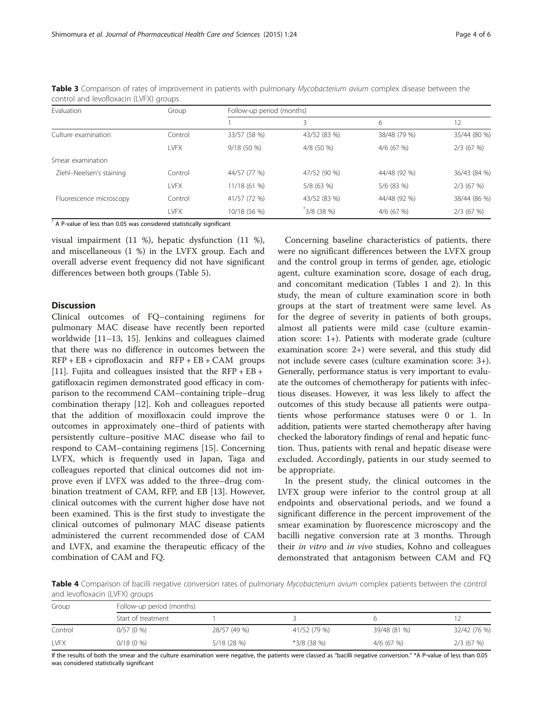| Evaluation               | Group       | Follow-up period (months) |              |              |              |
|--------------------------|-------------|---------------------------|--------------|--------------|--------------|
|                          |             |                           |              | 6            | 12           |
| Culture examination      | Control     | 33/57 (58 %)              | 43/52 (83 %) | 38/48 (79 %) | 35/44 (80 %) |
|                          | <b>LVFX</b> | $9/18(50\%)$              | 4/8 (50 %)   | $4/6$ (67 %) | $2/3$ (67 %) |
| Smear examination        |             |                           |              |              |              |
| Ziehl-Neelsen's staining | Control     | 44/57 (77 %)              | 47/52 (90 %) | 44/48 (92 %) | 36/43 (84 %) |
|                          | <b>LVFX</b> | 11/18 (61 %)              | $5/8$ (63 %) | $5/6$ (83 %) | $2/3$ (67 %) |
| Fluorescence microscopy  | Control     | 41/57 (72 %)              | 43/52 (83 %) | 44/48 (92 %) | 38/44 (86 %) |
|                          | <b>LVFX</b> | 10/18 (56 %)              | 3/8 (38 %)   | $4/6$ (67 %) | $2/3$ (67 %) |

<span id="page-3-0"></span>Table 3 Comparison of rates of improvement in patients with pulmonary Mycobacterium avium complex disease between the control and levofloxacin (LVFX) groups

\* A P-value of less than 0.05 was considered statistically significant

visual impairment (11 %), hepatic dysfunction (11 %), and miscellaneous (1 %) in the LVFX group. Each and overall adverse event frequency did not have significant differences between both groups (Table [5\)](#page-4-0).

## Discussion

Clinical outcomes of FQ–containing regimens for pulmonary MAC disease have recently been reported worldwide [[11](#page-5-0)–[13](#page-5-0), [15\]](#page-5-0). Jenkins and colleagues claimed that there was no difference in outcomes between the  $RFP + EB + ciproflox (or)$  and  $RFP + EB + CAM$  groups [[11\]](#page-5-0). Fujita and colleagues insisted that the RFP + EB + gatifloxacin regimen demonstrated good efficacy in comparison to the recommend CAM–containing triple–drug combination therapy [\[12](#page-5-0)]. Koh and colleagues reported that the addition of moxifloxacin could improve the outcomes in approximately one–third of patients with persistently culture–positive MAC disease who fail to respond to CAM–containing regimens [\[15\]](#page-5-0). Concerning LVFX, which is frequently used in Japan, Taga and colleagues reported that clinical outcomes did not improve even if LVFX was added to the three–drug combination treatment of CAM, RFP, and EB [\[13\]](#page-5-0). However, clinical outcomes with the current higher dose have not been examined. This is the first study to investigate the clinical outcomes of pulmonary MAC disease patients administered the current recommended dose of CAM and LVFX, and examine the therapeutic efficacy of the combination of CAM and FQ.

Concerning baseline characteristics of patients, there were no significant differences between the LVFX group and the control group in terms of gender, age, etiologic agent, culture examination score, dosage of each drug, and concomitant medication (Tables [1](#page-2-0) and [2\)](#page-2-0). In this study, the mean of culture examination score in both groups at the start of treatment were same level. As for the degree of severity in patients of both groups, almost all patients were mild case (culture examination score: 1+). Patients with moderate grade (culture examination score: 2+) were several, and this study did not include severe cases (culture examination score: 3+). Generally, performance status is very important to evaluate the outcomes of chemotherapy for patients with infectious diseases. However, it was less likely to affect the outcomes of this study because all patients were outpatients whose performance statuses were 0 or 1. In addition, patients were started chemotherapy after having checked the laboratory findings of renal and hepatic function. Thus, patients with renal and hepatic disease were excluded. Accordingly, patients in our study seemed to be appropriate.

In the present study, the clinical outcomes in the LVFX group were inferior to the control group at all endpoints and observational periods, and we found a significant difference in the percent improvement of the smear examination by fluorescence microscopy and the bacilli negative conversion rate at 3 months. Through their *in vitro* and *in vivo* studies, Kohno and colleagues demonstrated that antagonism between CAM and FQ

Table 4 Comparison of bacilli negative conversion rates of pulmonary Mycobacterium avium complex patients between the control and levofloxacin (LVFX) groups

| Group       |                    | Follow-up period (months) |               |              |              |  |  |
|-------------|--------------------|---------------------------|---------------|--------------|--------------|--|--|
|             | Start of treatment |                           |               |              |              |  |  |
| Control     | $0/57(0\%)$        | 28/57 (49 %)              | 41/52 (79 %)  | 39/48 (81 %) | 32/42 (76 %) |  |  |
| <b>LVFX</b> | 0/18(0%            | 5/18(28%)                 | $*3/8$ (38 %) | 4/6(67%)     | 2/3(67%)     |  |  |

If the results of both the smear and the culture examination were negative, the patients were classed as "bacilli negative conversion." \*A P-value of less than 0.05 was considered statistically significant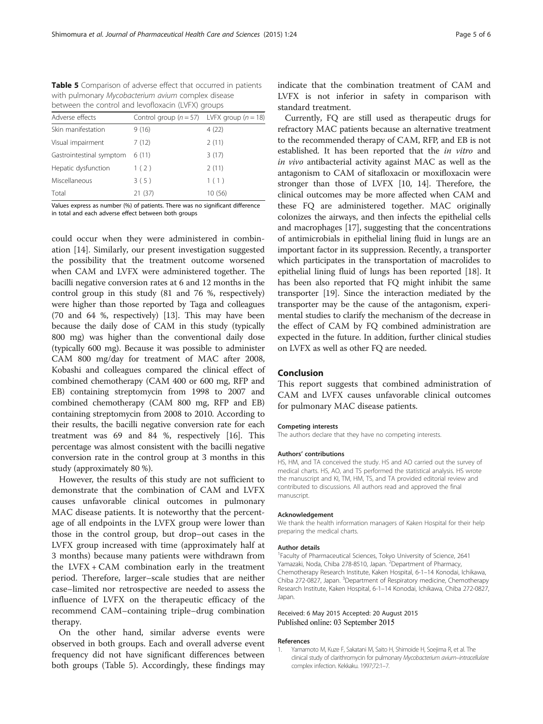<span id="page-4-0"></span>Table 5 Comparison of adverse effect that occurred in patients with pulmonary Mycobacterium avium complex disease between the control and levofloxacin (LVFX) groups

| Adverse effects          | Control group ( $n = 57$ ) LVFX group ( $n = 18$ ) |        |  |  |
|--------------------------|----------------------------------------------------|--------|--|--|
| Skin manifestation       | 9(16)                                              | 4(22)  |  |  |
| Visual impairment        | 7(12)                                              | 2(11)  |  |  |
| Gastrointestinal symptom | 6(11)                                              | 3(17)  |  |  |
| Hepatic dysfunction      | 1(2)                                               | 2(11)  |  |  |
| Miscellaneous            | 3(5)                                               | 1(1)   |  |  |
| Total                    | 21(37)                                             | 10(56) |  |  |
|                          |                                                    |        |  |  |

Values express as number (%) of patients. There was no significant difference in total and each adverse effect between both groups

could occur when they were administered in combination [\[14\]](#page-5-0). Similarly, our present investigation suggested the possibility that the treatment outcome worsened when CAM and LVFX were administered together. The bacilli negative conversion rates at 6 and 12 months in the control group in this study (81 and 76 %, respectively) were higher than those reported by Taga and colleagues (70 and 64 %, respectively) [\[13](#page-5-0)]. This may have been because the daily dose of CAM in this study (typically 800 mg) was higher than the conventional daily dose (typically 600 mg). Because it was possible to administer CAM 800 mg/day for treatment of MAC after 2008, Kobashi and colleagues compared the clinical effect of combined chemotherapy (CAM 400 or 600 mg, RFP and EB) containing streptomycin from 1998 to 2007 and combined chemotherapy (CAM 800 mg, RFP and EB) containing streptomycin from 2008 to 2010. According to their results, the bacilli negative conversion rate for each treatment was 69 and 84 %, respectively [\[16\]](#page-5-0). This percentage was almost consistent with the bacilli negative conversion rate in the control group at 3 months in this study (approximately 80 %).

However, the results of this study are not sufficient to demonstrate that the combination of CAM and LVFX causes unfavorable clinical outcomes in pulmonary MAC disease patients. It is noteworthy that the percentage of all endpoints in the LVFX group were lower than those in the control group, but drop–out cases in the LVFX group increased with time (approximately half at 3 months) because many patients were withdrawn from the  $LVFX + CAM$  combination early in the treatment period. Therefore, larger–scale studies that are neither case–limited nor retrospective are needed to assess the influence of LVFX on the therapeutic efficacy of the recommend CAM–containing triple–drug combination therapy.

On the other hand, similar adverse events were observed in both groups. Each and overall adverse event frequency did not have significant differences between both groups (Table 5). Accordingly, these findings may indicate that the combination treatment of CAM and LVFX is not inferior in safety in comparison with standard treatment.

Currently, FQ are still used as therapeutic drugs for refractory MAC patients because an alternative treatment to the recommended therapy of CAM, RFP, and EB is not established. It has been reported that the in vitro and in vivo antibacterial activity against MAC as well as the antagonism to CAM of sitafloxacin or moxifloxacin were stronger than those of LVFX [\[10, 14\]](#page-5-0). Therefore, the clinical outcomes may be more affected when CAM and these FQ are administered together. MAC originally colonizes the airways, and then infects the epithelial cells and macrophages [[17](#page-5-0)], suggesting that the concentrations of antimicrobials in epithelial lining fluid in lungs are an important factor in its suppression. Recently, a transporter which participates in the transportation of macrolides to epithelial lining fluid of lungs has been reported [\[18](#page-5-0)]. It has been also reported that FQ might inhibit the same transporter [[19](#page-5-0)]. Since the interaction mediated by the transporter may be the cause of the antagonism, experimental studies to clarify the mechanism of the decrease in the effect of CAM by FQ combined administration are expected in the future. In addition, further clinical studies on LVFX as well as other FQ are needed.

### Conclusion

This report suggests that combined administration of CAM and LVFX causes unfavorable clinical outcomes for pulmonary MAC disease patients.

#### Competing interests

The authors declare that they have no competing interests.

#### Authors' contributions

HS, HM, and TA conceived the study. HS and AO carried out the survey of medical charts. HS, AO, and TS performed the statistical analysis. HS wrote the manuscript and KI, TM, HM, TS, and TA provided editorial review and contributed to discussions. All authors read and approved the final manuscript.

#### Acknowledgement

We thank the health information managers of Kaken Hospital for their help preparing the medical charts.

#### Author details

1 Faculty of Pharmaceutical Sciences, Tokyo University of Science, 2641 Yamazaki, Noda, Chiba 278-8510, Japan. <sup>2</sup>Department of Pharmacy Chemotherapy Research Institute, Kaken Hospital, 6-1–14 Konodai, Ichikawa, Chiba 272-0827, Japan. <sup>3</sup>Department of Respiratory medicine, Chemotherapy Research Institute, Kaken Hospital, 6-1–14 Konodai, Ichikawa, Chiba 272-0827, Japan.

#### Received: 6 May 2015 Accepted: 20 August 2015 Published online: 03 September 2015

#### References

1. Yamamoto M, Kuze F, Sakatani M, Saito H, Shimoide H, Soejima R, et al. The clinical study of clarithromycin for pulmonary Mycobacterium avium–intracellulare complex infection. Kekkaku. 1997;72:1–7.